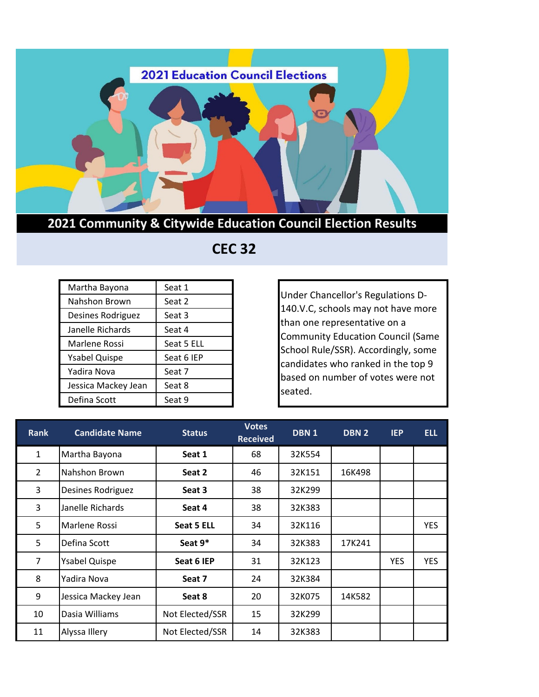

## **2021 Community & Citywide Education Council Election Results**

## **CEC 32**

| Martha Bayona        | Seat 1     |
|----------------------|------------|
| Nahshon Brown        | Seat 2     |
| Desines Rodriguez    | Seat 3     |
| Janelle Richards     | Seat 4     |
| Marlene Rossi        | Seat 5 ELL |
| <b>Ysabel Quispe</b> | Seat 6 IEP |
| Yadira Nova          | Seat 7     |
| Jessica Mackey Jean  | Seat 8     |
| Defina Scott         | Seat 9     |

Under Chancellor's Regulations D-140.V.C, schools may not have more than one representative on a Community Education Council (Same School Rule/SSR). Accordingly, some candidates who ranked in the top 9 based on number of votes were not seated.

| <b>Rank</b>    | <b>Candidate Name</b> | <b>Status</b>   | <b>Votes</b><br><b>Received</b> | DBN <sub>1</sub> | DBN <sub>2</sub> | <b>IEP</b> | <b>ELL</b> |
|----------------|-----------------------|-----------------|---------------------------------|------------------|------------------|------------|------------|
| $\mathbf{1}$   | Martha Bayona         | Seat 1          | 68                              | 32K554           |                  |            |            |
| $\overline{2}$ | Nahshon Brown         | Seat 2          | 46                              | 32K151           | 16K498           |            |            |
| 3              | Desines Rodriguez     | Seat 3          | 38                              | 32K299           |                  |            |            |
| 3              | Janelle Richards      | Seat 4          | 38                              | 32K383           |                  |            |            |
| 5              | Marlene Rossi         | Seat 5 ELL      | 34                              | 32K116           |                  |            | <b>YES</b> |
| 5              | Defina Scott          | Seat 9*         | 34                              | 32K383           | 17K241           |            |            |
| $\overline{7}$ | <b>Ysabel Quispe</b>  | Seat 6 IEP      | 31                              | 32K123           |                  | <b>YES</b> | <b>YES</b> |
| 8              | Yadira Nova           | Seat 7          | 24                              | 32K384           |                  |            |            |
| 9              | Jessica Mackey Jean   | Seat 8          | 20                              | 32K075           | 14K582           |            |            |
| 10             | Dasia Williams        | Not Elected/SSR | 15                              | 32K299           |                  |            |            |
| 11             | Alyssa Illery         | Not Elected/SSR | 14                              | 32K383           |                  |            |            |